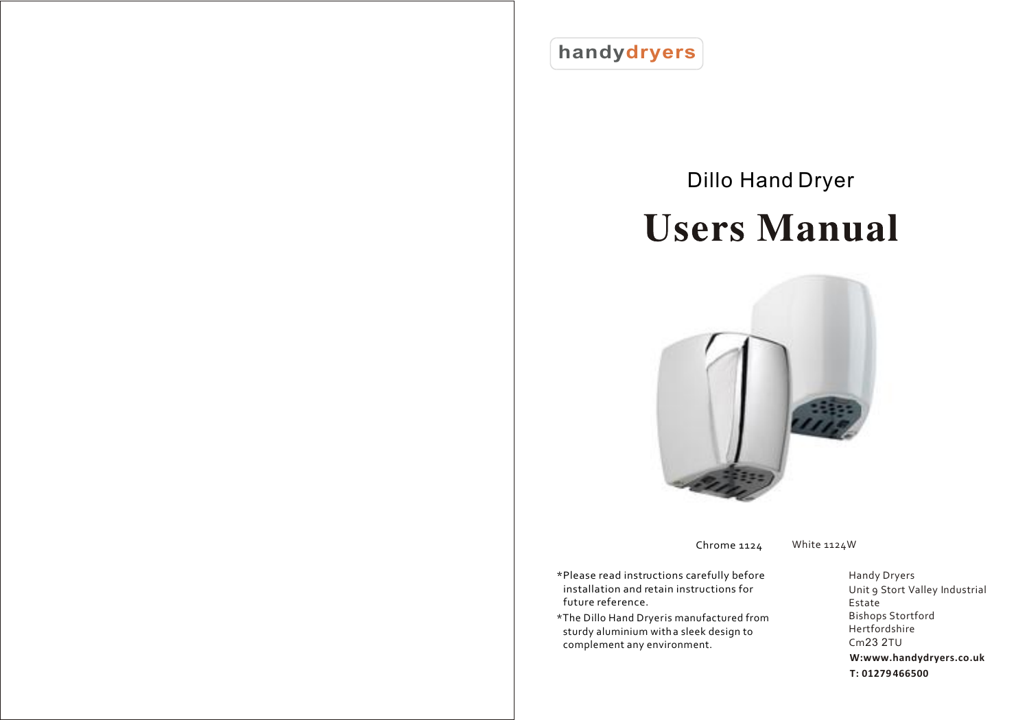**handydryers**

# [Dillo Hand Dryer](www.handydryers.co.uk/the-dillo-scented-hand-dryer-1035184.html) **Users Manual**



Chrome 1124 White 1124W

- \*Please read instructions carefully before installation and retain instructions for future reference.
- \*The Dillo Hand Dryer is manufactured from sturdy aluminium with a sleek design to complement any environment.

Handy Dryers Unit 9 Stort Valley Industrial Estate Bishops Stortford Hertfordshire Cm23 2TU **W:<www.handydryers.co.uk> T: 01279 466500**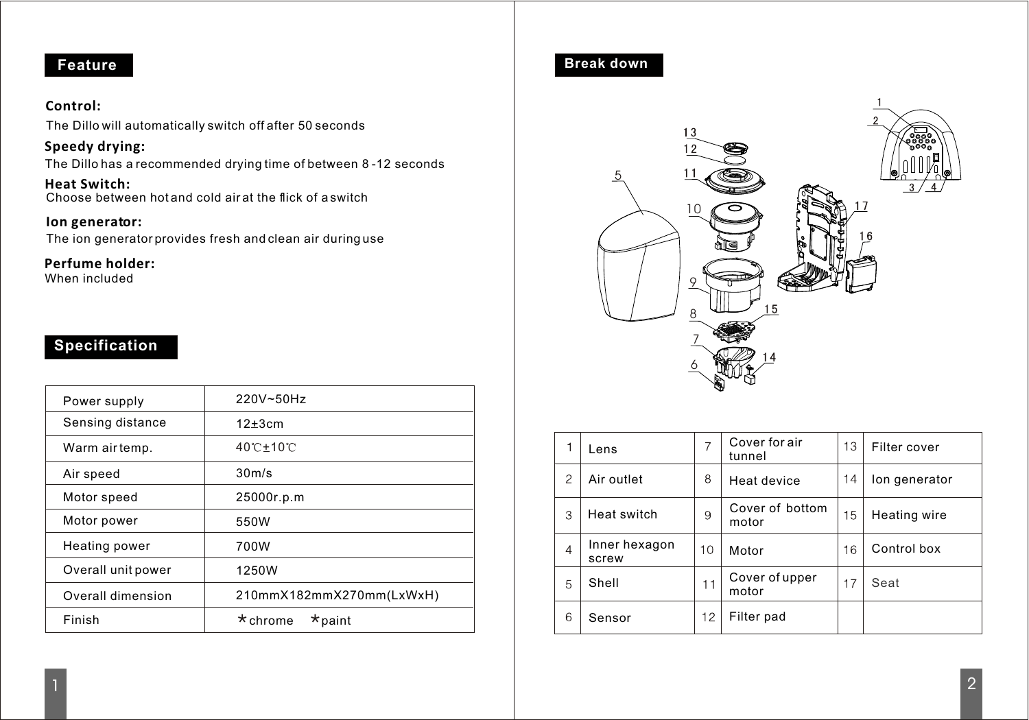## **Feature**

#### **Control:**

The Dillo will automatically switch off after 50 seconds

**Speedy drying:**

The Dillo has a recommended drying time of between 8 -12 seconds

Choose between hot and cold air at the flick of a switch **Heat Switch:**

**Ion generator:** The ion generator provides fresh and clean air during use

**Perfume holder:**

When included

### **Specification**

| Power supply       | 220V~50Hz                       |  |  |
|--------------------|---------------------------------|--|--|
| Sensing distance   | $12\pm 3cm$                     |  |  |
| Warm airtemp.      | 40°C±10°C                       |  |  |
| Air speed          | 30m/s                           |  |  |
| Motor speed        | 25000r.p.m                      |  |  |
| Motor power        | 550W                            |  |  |
| Heating power      | 700W                            |  |  |
| Overall unit power | 1250W                           |  |  |
| Overall dimension  | 210mmX182mmX270mm(LxWxH)        |  |  |
| Finish             | $\star$ chrome<br>$\star$ paint |  |  |

**Break down**



|                | Lens                   | 7  | Cover for air<br>tunnel  | 13 | Filter cover  |
|----------------|------------------------|----|--------------------------|----|---------------|
| $\mathcal{P}$  | Air outlet             | 8  | Heat device              | 14 | lon generator |
| 3              | Heat switch            | 9  | Cover of bottom<br>motor | 15 | Heating wire  |
| $\overline{4}$ | Inner hexagon<br>screw | 10 | Motor                    | 16 | Control box   |
| 5              | Shell                  | 11 | Cover of upper<br>motor  | 17 | Seat          |
| 6              | Sensor                 | 12 | Filter pad               |    |               |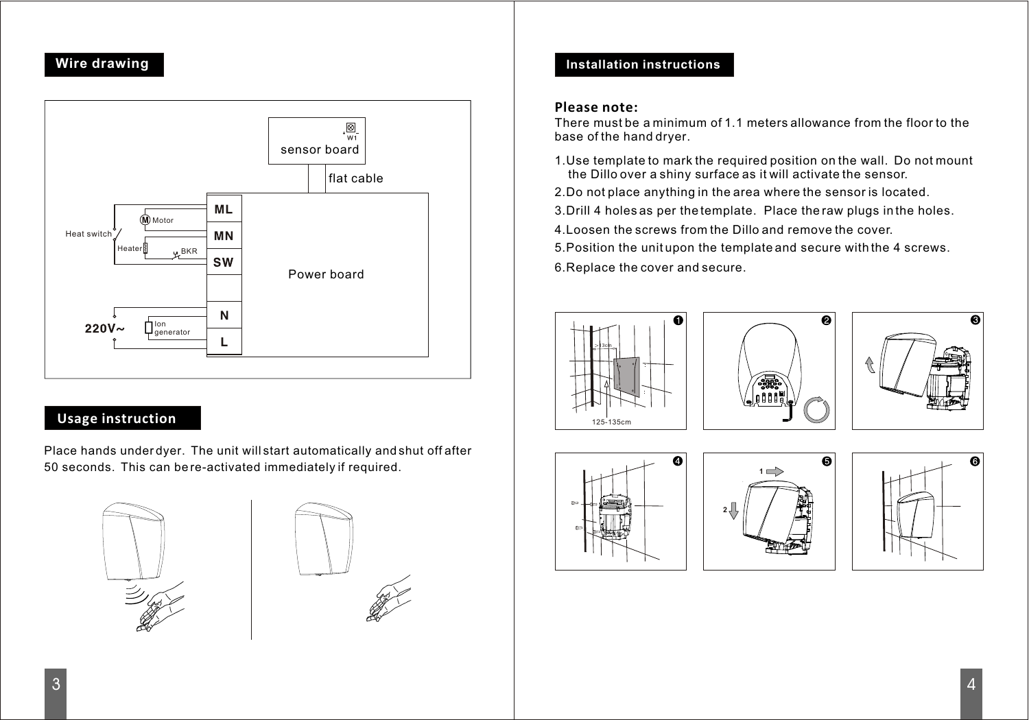#### **Wire drawing**



#### **Usage instruction**

Place hands under dyer. The unit will start automatically and shut off after 50 seconds. This can be re-activated immediately if required.





#### **Installation instructions**

#### **Please note:**

There must be a minimum of 1.1 meters allowance from the floor to the base of the hand dryer.

- 1.Use template to mark the required position on the wall. Do not mount the Dillo over a shiny surface as it will activate the sensor.
- 2.Do not place anything in the area where the sensor is located.
- 3.Drill 4 holes as per the template. Place the raw plugs in the holes.
- 4.Loosen the screws from the Dillo and remove the cover.
- 5.Position the unit upon the template and secure with the 4 screws.
- 6.Replace the cover and secure.